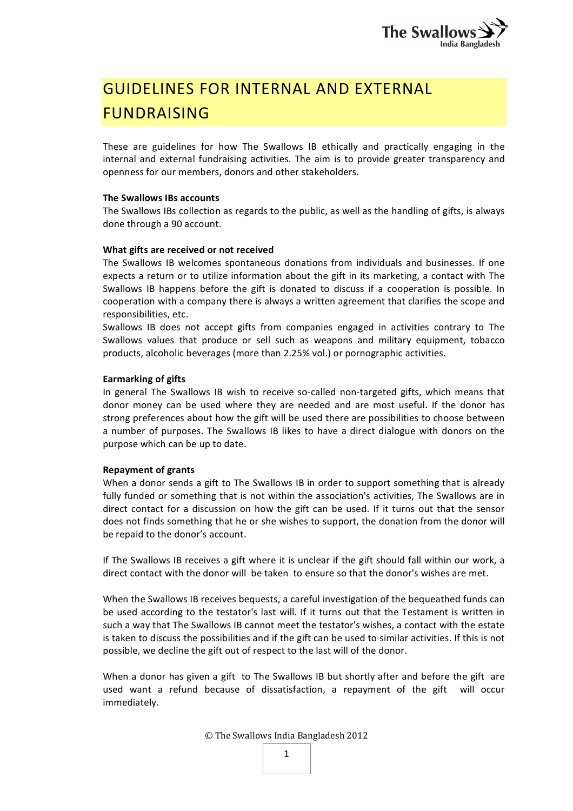# GUIDELINES FOR INTERNAL AND EXTERNAL **FUNDRAISING**

These are guidelines for how The Swallows IB ethically and practically engaging in the internal and external fundraising activities. The aim is to provide greater transparency and openness for our members, donors and other stakeholders.

### The Swallows IBs accounts

The Swallows IBs collection as regards to the public, as well as the handling of gifts, is always done through a 90 account.

### What gifts are received or not received

The Swallows IB welcomes spontaneous donations from individuals and businesses. If one expects a return or to utilize information about the gift in its marketing, a contact with The Swallows IB happens before the gift is donated to discuss if a cooperation is possible. In cooperation with a company there is always a written agreement that clarifies the scope and responsibilities, etc.

Swallows IB does not accept gifts from companies engaged in activities contrary to The Swallows values that produce or sell such as weapons and military equipment, tobacco products, alcoholic beverages (more than 2.25% vol.) or pornographic activities.

### **Earmarking of gifts**

In general The Swallows IB wish to receive so-called non-targeted gifts, which means that donor money can be used where they are needed and are most useful. If the donor has strong preferences about how the gift will be used there are possibilities to choose between a number of purposes. The Swallows IB likes to have a direct dialogue with donors on the purpose which can be up to date.

#### **Repayment of grants**

When a donor sends a gift to The Swallows IB in order to support something that is already fully funded or something that is not within the association's activities, The Swallows are in direct contact for a discussion on how the gift can be used. If it turns out that the sensor does not finds something that he or she wishes to support, the donation from the donor will be repaid to the donor's account.

If The Swallows IB receives a gift where it is unclear if the gift should fall within our work, a direct contact with the donor will be taken to ensure so that the donor's wishes are met.

When the Swallows IB receives bequests, a careful investigation of the bequeathed funds can be used according to the testator's last will. If it turns out that the Testament is written in such a way that The Swallows IB cannot meet the testator's wishes, a contact with the estate is taken to discuss the possibilities and if the gift can be used to similar activities. If this is not possible, we decline the gift out of respect to the last will of the donor.

When a donor has given a gift to The Swallows IB but shortly after and before the gift are used want a refund because of dissatisfaction, a repayment of the gift will occur immediately.

© The Swallows India Bangladesh 2012

| × |  |
|---|--|
|   |  |